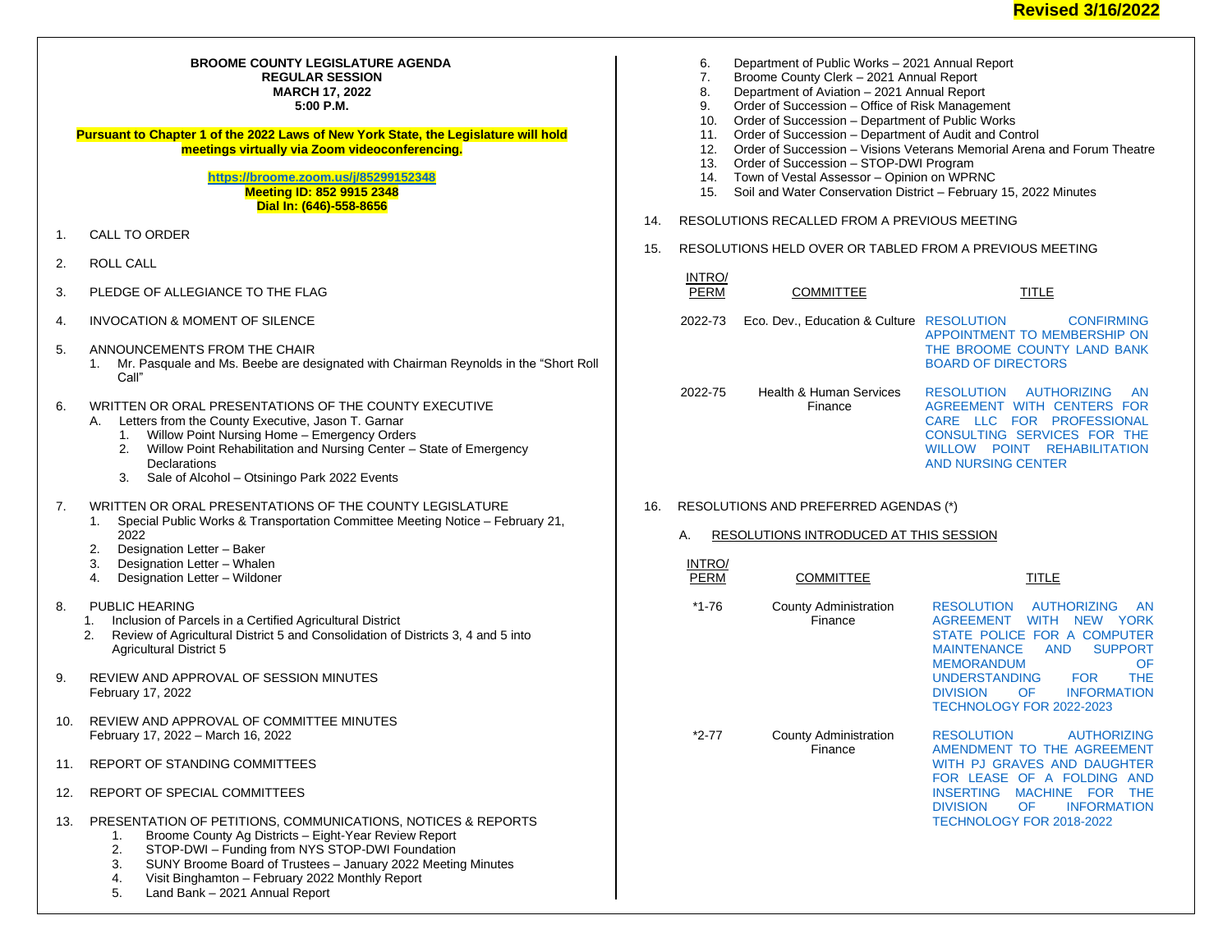## **BROOME COUNTY LEGISLATURE AGENDA REGULAR SESSION MARCH 17, 2022 5:00 P.M.**

**Pursuant to Chapter 1 of the 2022 Laws of New York State, the Legislature will hold meetings virtually via Zoom videoconferencing.**

> **<https://broome.zoom.us/j/85299152348> Meeting ID: 852 9915 2348 Dial In: (646)-558-8656**

- 1. CALL TO ORDER
- 2. ROLL CALL
- 3. PLEDGE OF ALLEGIANCE TO THE FLAG
- 4. INVOCATION & MOMENT OF SILENCE
- 5. ANNOUNCEMENTS FROM THE CHAIR
	- 1. Mr. Pasquale and Ms. Beebe are designated with Chairman Reynolds in the "Short Roll Call"
- 6. WRITTEN OR ORAL PRESENTATIONS OF THE COUNTY EXECUTIVE
	- A. Letters from the County Executive, Jason T. Garnar
		- 1. Willow Point Nursing Home Emergency Orders
		- 2. Willow Point Rehabilitation and Nursing Center State of Emergency **Declarations**
		- 3. Sale of Alcohol Otsiningo Park 2022 Events
- 7. WRITTEN OR ORAL PRESENTATIONS OF THE COUNTY LEGISLATURE
	- 1. Special Public Works & Transportation Committee Meeting Notice February 21, 2022
	- 2. Designation Letter Baker<br>3. Designation Letter Whale
	- Designation Letter Whalen
	- 4. Designation Letter Wildoner
- 8. PUBLIC HEARING
	- 1. Inclusion of Parcels in a Certified Agricultural District
	- 2. Review of Agricultural District 5 and Consolidation of Districts 3, 4 and 5 into Agricultural District 5
- 9. REVIEW AND APPROVAL OF SESSION MINUTES February 17, 2022
- 10. REVIEW AND APPROVAL OF COMMITTEE MINUTES February 17, 2022 – March 16, 2022
- 11. REPORT OF STANDING COMMITTEES
- 12. REPORT OF SPECIAL COMMITTEES
- 13. PRESENTATION OF PETITIONS, COMMUNICATIONS, NOTICES & REPORTS
	- 1. Broome County Ag Districts Eight-Year Review Report<br>2. STOP-DWI Funding from NYS STOP-DWI Foundation
	- 2. STOP-DWI Funding from NYS STOP-DWI Foundation
	- 3. SUNY Broome Board of Trustees January 2022 Meeting Minutes
	- 4. Visit Binghamton February 2022 Monthly Report
	- Land Bank 2021 Annual Report
- 6. Department of Public Works 2021 Annual Report 7. Broome County Clerk – 2021 Annual Report 8. Department of Aviation – 2021 Annual Report 9. Order of Succession – Office of Risk Management 10. Order of Succession – Department of Public Works 11. Order of Succession – Department of Audit and Control 12. Order of Succession – Visions Veterans Memorial Arena and Forum Theatre 13. Order of Succession – STOP-DWI Program 14. Town of Vestal Assessor – Opinion on WPRNC 15. Soil and Water Conservation District – February 15, 2022 Minutes 14. RESOLUTIONS RECALLED FROM A PREVIOUS MEETING 15. RESOLUTIONS HELD OVER OR TABLED FROM A PREVIOUS MEETING INTRO/<br>PERM COMMITTEE TITLE 2022-73 Eco. Dev., Education & Culture [RESOLUTION CONFIRMING](https://www.gobroomecounty.com/sites/default/files/dept/legis/2022-73.pdf)  [APPOINTMENT TO MEMBERSHIP ON](https://www.gobroomecounty.com/sites/default/files/dept/legis/2022-73.pdf)  [THE BROOME COUNTY LAND BANK](https://www.gobroomecounty.com/sites/default/files/dept/legis/2022-73.pdf)  [BOARD OF DIRECTORS](https://www.gobroomecounty.com/sites/default/files/dept/legis/2022-73.pdf) 2022-75 Health & Human Services Finance [RESOLUTION AUTHORIZING AN](https://www.gobroomecounty.com/sites/default/files/dept/legis/2022-75.pdf)  [AGREEMENT WITH CENTERS FOR](https://www.gobroomecounty.com/sites/default/files/dept/legis/2022-75.pdf)  [CARE LLC FOR PROFESSIONAL](https://www.gobroomecounty.com/sites/default/files/dept/legis/2022-75.pdf)  CONSULTING SERVICES FOR THE [WILLOW POINT REHABILITATION](https://www.gobroomecounty.com/sites/default/files/dept/legis/2022-75.pdf)  [AND NURSING CENTER](https://www.gobroomecounty.com/sites/default/files/dept/legis/2022-75.pdf) 16. RESOLUTIONS AND PREFERRED AGENDAS (\*) A. RESOLUTIONS INTRODUCED AT THIS SESSION INTRO/ **COMMITTEE** TITLE \*1-76 County Administration Finance [RESOLUTION AUTHORIZING AN](https://www.gobroomecounty.com/sites/default/files/dept/legis/03172022-01.pdf)  [AGREEMENT WITH NEW YORK](https://www.gobroomecounty.com/sites/default/files/dept/legis/03172022-01.pdf)  [STATE POLICE FOR A COMPUTER](https://www.gobroomecounty.com/sites/default/files/dept/legis/03172022-01.pdf)  MAINTENANCE AND SUPPORT<br>MEMORANDUM OF **MEMORANDUM** [UNDERSTANDING FOR THE](https://www.gobroomecounty.com/sites/default/files/dept/legis/03172022-01.pdf)  [DIVISION OF INFORMATION](https://www.gobroomecounty.com/sites/default/files/dept/legis/03172022-01.pdf)  [TECHNOLOGY FOR 2022-2023](https://www.gobroomecounty.com/sites/default/files/dept/legis/03172022-01.pdf) \*2-77 County Administration Finance [RESOLUTION AUTHORIZING](https://www.gobroomecounty.com/sites/default/files/dept/legis/03172022-02.pdf)  [AMENDMENT TO THE AGREEMENT](https://www.gobroomecounty.com/sites/default/files/dept/legis/03172022-02.pdf) 
	- [WITH PJ GRAVES AND DAUGHTER](https://www.gobroomecounty.com/sites/default/files/dept/legis/03172022-02.pdf)  [FOR LEASE OF A FOLDING AND](https://www.gobroomecounty.com/sites/default/files/dept/legis/03172022-02.pdf)  INSERTING MACHINE FOR THE<br>DIVISION OF INFORMATION [DIVISION OF INFORMATION](https://www.gobroomecounty.com/sites/default/files/dept/legis/03172022-02.pdf)  [TECHNOLOGY FOR 2018-2022](https://www.gobroomecounty.com/sites/default/files/dept/legis/03172022-02.pdf)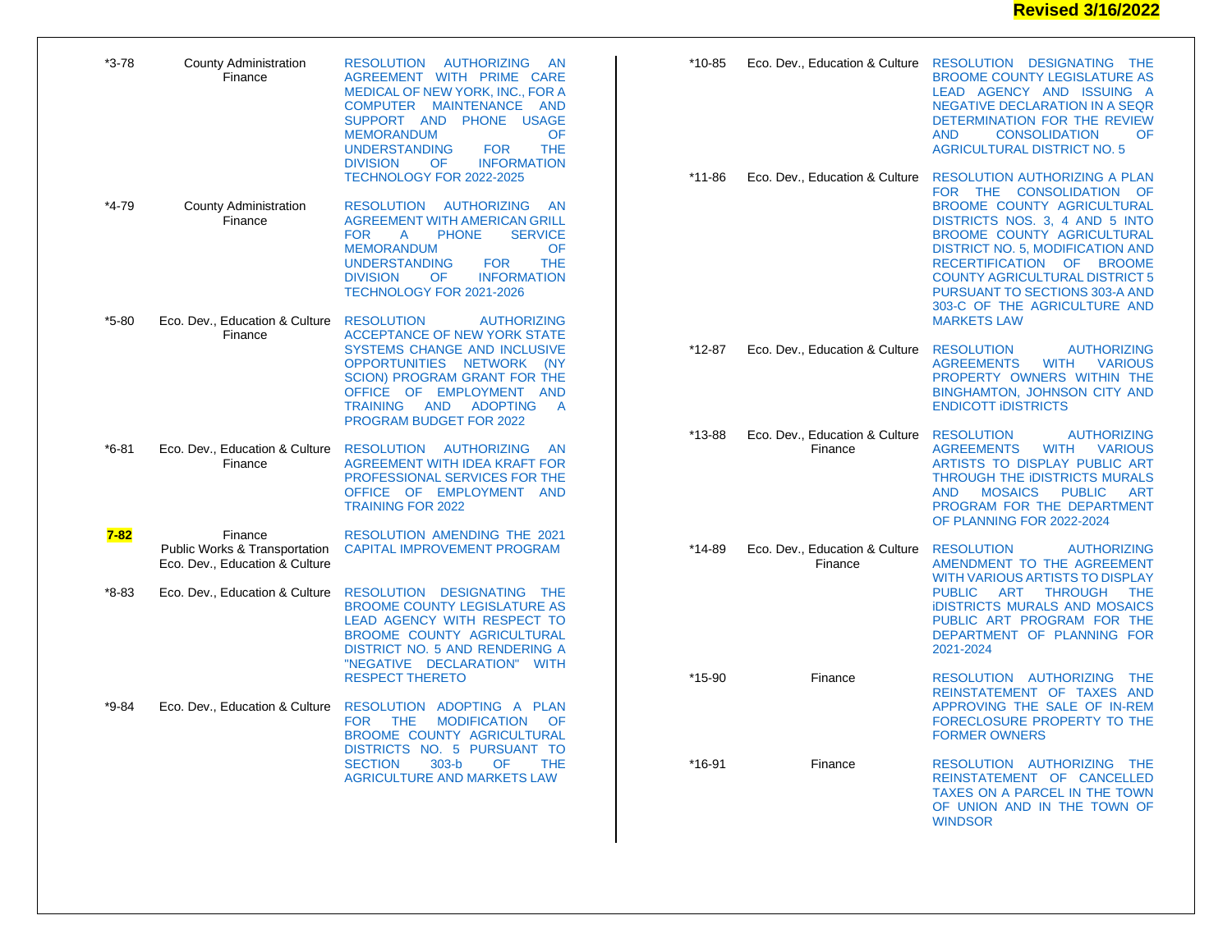| *3-78     | <b>County Administration</b><br>Finance                                               | <b>RESOLUTION</b><br><b>AUTHORIZING</b><br><b>AN</b><br>AGREEMENT WITH PRIME CARE<br>MEDICAL OF NEW YORK, INC., FOR A<br>COMPUTER MAINTENANCE<br>AND<br>SUPPORT AND PHONE USAGE<br><b>MEMORANDUM</b><br>OF<br><b>THE</b><br><b>UNDERSTANDING</b><br><b>FOR</b><br>OF<br><b>INFORMATION</b><br><b>DIVISION</b>                           | *10-85     | Eco. Dev., Education & Culture            | RESOLUTION DESIGNATING THE<br><b>BROOME COUNTY LEGISLATURE AS</b><br>LEAD AGENCY AND ISSUING A<br>NEGATIVE DECLARATION IN A SEQR<br>DETERMINATION FOR THE REVIEW<br><b>AND</b><br><b>CONSOLIDATION</b><br>OF<br><b>AGRICULTURAL DISTRICT NO. 5</b>                                                                                                |
|-----------|---------------------------------------------------------------------------------------|-----------------------------------------------------------------------------------------------------------------------------------------------------------------------------------------------------------------------------------------------------------------------------------------------------------------------------------------|------------|-------------------------------------------|---------------------------------------------------------------------------------------------------------------------------------------------------------------------------------------------------------------------------------------------------------------------------------------------------------------------------------------------------|
| *4-79     | <b>County Administration</b><br>Finance                                               | TECHNOLOGY FOR 2022-2025<br><b>AUTHORIZING</b><br><b>RESOLUTION</b><br><b>AN</b><br><b>AGREEMENT WITH AMERICAN GRILL</b><br><b>PHONE</b><br><b>SERVICE</b><br><b>FOR</b><br>A<br><b>MEMORANDUM</b><br>OF<br><b>UNDERSTANDING</b><br><b>THE</b><br><b>FOR</b><br><b>DIVISION</b><br>OF<br><b>INFORMATION</b><br>TECHNOLOGY FOR 2021-2026 | *11-86     | Eco. Dev., Education & Culture            | <b>RESOLUTION AUTHORIZING A PLAN</b><br>FOR THE CONSOLIDATION OF<br>BROOME COUNTY AGRICULTURAL<br>DISTRICTS NOS. 3, 4 AND 5 INTO<br>BROOME COUNTY AGRICULTURAL<br><b>DISTRICT NO. 5, MODIFICATION AND</b><br>RECERTIFICATION OF BROOME<br><b>COUNTY AGRICULTURAL DISTRICT 5</b><br>PURSUANT TO SECTIONS 303-A AND<br>303-C OF THE AGRICULTURE AND |
| $*5-80$   | Eco. Dev., Education & Culture RESOLUTION<br>Finance                                  | <b>AUTHORIZING</b><br><b>ACCEPTANCE OF NEW YORK STATE</b>                                                                                                                                                                                                                                                                               |            |                                           | <b>MARKETS LAW</b>                                                                                                                                                                                                                                                                                                                                |
|           |                                                                                       | SYSTEMS CHANGE AND INCLUSIVE<br>OPPORTUNITIES NETWORK (NY<br><b>SCION) PROGRAM GRANT FOR THE</b><br>OFFICE OF EMPLOYMENT AND<br><b>TRAINING</b><br><b>AND</b><br><b>ADOPTING</b><br>$\overline{A}$<br><b>PROGRAM BUDGET FOR 2022</b>                                                                                                    | $*12-87$   | Eco. Dev., Education & Culture            | <b>RESOLUTION</b><br><b>AUTHORIZING</b><br><b>WITH</b><br><b>AGREEMENTS</b><br><b>VARIOUS</b><br>PROPERTY OWNERS WITHIN THE<br><b>BINGHAMTON, JOHNSON CITY AND</b><br><b>ENDICOTT IDISTRICTS</b>                                                                                                                                                  |
| $*6 - 81$ | Finance                                                                               | Eco. Dev., Education & Culture  RESOLUTION  AUTHORIZING<br><b>AN</b><br>AGREEMENT WITH IDEA KRAFT FOR<br>PROFESSIONAL SERVICES FOR THE<br>OFFICE OF EMPLOYMENT AND<br><b>TRAINING FOR 2022</b>                                                                                                                                          | $*13 - 88$ | Eco. Dev., Education & Culture<br>Finance | <b>RESOLUTION</b><br><b>AUTHORIZING</b><br><b>WITH</b><br><b>AGREEMENTS</b><br><b>VARIOUS</b><br>ARTISTS TO DISPLAY PUBLIC ART<br>THROUGH THE IDISTRICTS MURALS<br><b>MOSAICS</b><br><b>PUBLIC</b><br><b>AND</b><br><b>ART</b><br>PROGRAM FOR THE DEPARTMENT<br>OF PLANNING FOR 2022-2024                                                         |
| $7 - 82$  | Finance<br><b>Public Works &amp; Transportation</b><br>Eco. Dev., Education & Culture | RESOLUTION AMENDING THE 2021<br>CAPITAL IMPROVEMENT PROGRAM                                                                                                                                                                                                                                                                             | *14-89     | Eco. Dev., Education & Culture<br>Finance | <b>RESOLUTION</b><br><b>AUTHORIZING</b><br>AMENDMENT TO THE AGREEMENT<br><b>WITH VARIOUS ARTISTS TO DISPLAY</b>                                                                                                                                                                                                                                   |
| $*8-83$   | Eco. Dev., Education & Culture                                                        | RESOLUTION DESIGNATING THE<br><b>BROOME COUNTY LEGISLATURE AS</b><br>LEAD AGENCY WITH RESPECT TO<br>BROOME COUNTY AGRICULTURAL<br><b>DISTRICT NO. 5 AND RENDERING A</b><br>"NEGATIVE DECLARATION" WITH                                                                                                                                  |            |                                           | <b>PUBLIC</b><br>ART<br><b>THROUGH</b><br><b>THE</b><br><b>IDISTRICTS MURALS AND MOSAICS</b><br>PUBLIC ART PROGRAM FOR THE<br>DEPARTMENT OF PLANNING FOR<br>2021-2024                                                                                                                                                                             |
|           |                                                                                       | <b>RESPECT THERETO</b>                                                                                                                                                                                                                                                                                                                  | $*15-90$   | Finance                                   | RESOLUTION AUTHORIZING<br><b>THE</b><br>REINSTATEMENT OF TAXES AND                                                                                                                                                                                                                                                                                |
| $*9 - 84$ | Eco. Dev., Education & Culture                                                        | RESOLUTION ADOPTING A PLAN<br><b>FOR</b><br><b>THE</b><br><b>MODIFICATION</b><br>- OF<br>BROOME COUNTY AGRICULTURAL<br>DISTRICTS NO. 5 PURSUANT TO                                                                                                                                                                                      |            |                                           | APPROVING THE SALE OF IN-REM<br>FORECLOSURE PROPERTY TO THE<br><b>FORMER OWNERS</b>                                                                                                                                                                                                                                                               |
|           |                                                                                       | $303-b$<br><b>SECTION</b><br>OF<br><b>THE</b><br><b>AGRICULTURE AND MARKETS LAW</b>                                                                                                                                                                                                                                                     | $*16-91$   | Finance                                   | RESOLUTION AUTHORIZING THE<br>REINSTATEMENT OF CANCELLED<br>TAXES ON A PARCEL IN THE TOWN<br>OF UNION AND IN THE TOWN OF<br><b>WINDSOR</b>                                                                                                                                                                                                        |
|           |                                                                                       |                                                                                                                                                                                                                                                                                                                                         |            |                                           |                                                                                                                                                                                                                                                                                                                                                   |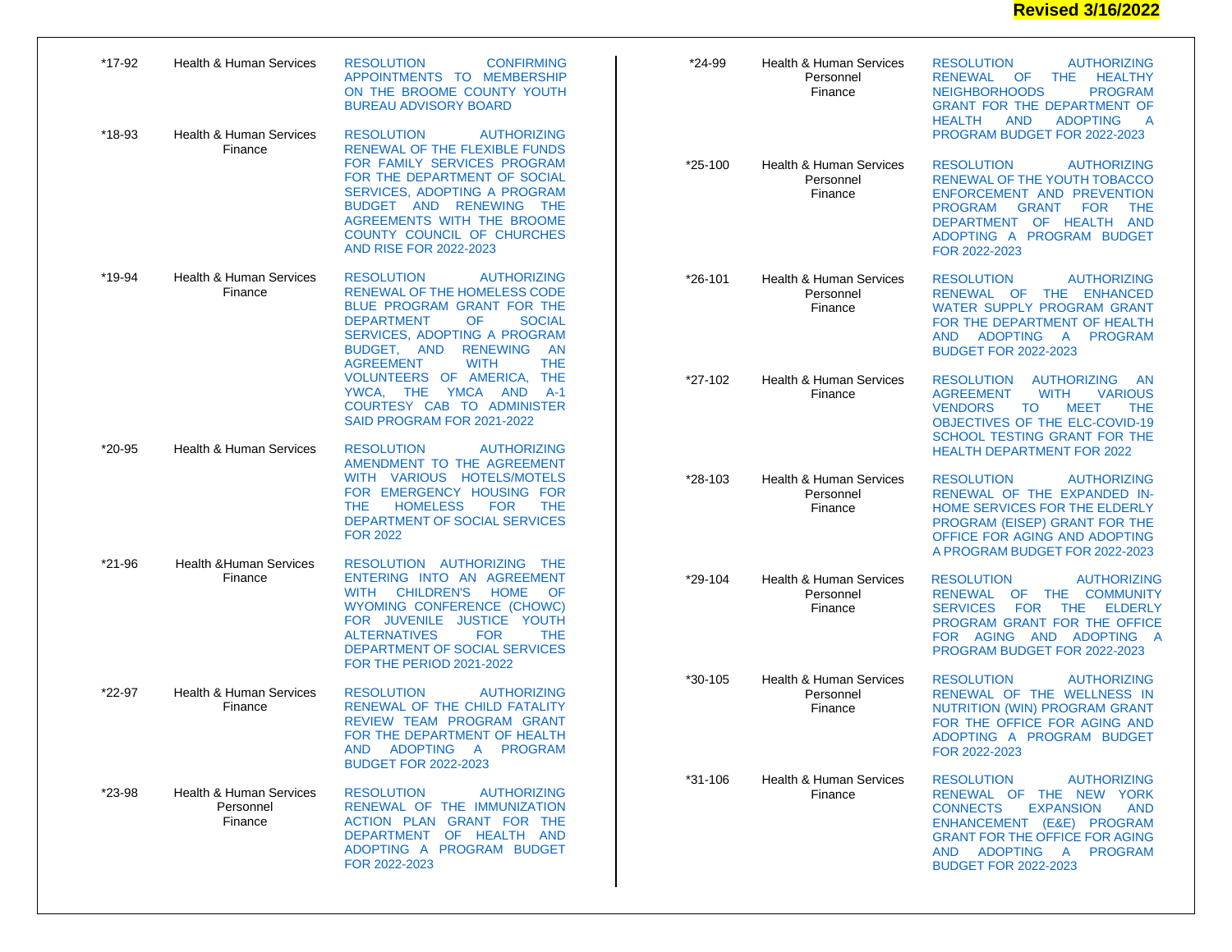## **Revised 3/16/2022**

| *17-92   | <b>Health &amp; Human Services</b>              | <b>RESOLUTION</b><br><b>CONFIRMING</b><br>APPOINTMENTS TO MEMBERSHIP<br>ON THE BROOME COUNTY YOUTH<br><b>BUREAU ADVISORY BOARD</b>                                                                                                                                                                            | *24-99      | Health & Human Services<br>Personnel<br>Finance            | <b>AUTHORIZING</b><br><b>RESOLUTION</b><br>HEALTHY<br>RENEWAL OF<br><b>THE</b><br><b>NEIGHBORHOODS</b><br><b>PROGRAM</b><br><b>GRANT FOR THE DEPARTMENT OF</b><br><b>AND</b><br><b>ADOPTING</b><br><b>HEALTH</b><br>A                                                         |
|----------|-------------------------------------------------|---------------------------------------------------------------------------------------------------------------------------------------------------------------------------------------------------------------------------------------------------------------------------------------------------------------|-------------|------------------------------------------------------------|-------------------------------------------------------------------------------------------------------------------------------------------------------------------------------------------------------------------------------------------------------------------------------|
| *18-93   | <b>Health &amp; Human Services</b><br>Finance   | <b>RESOLUTION</b><br><b>AUTHORIZING</b><br>RENEWAL OF THE FLEXIBLE FUNDS<br>FOR FAMILY SERVICES PROGRAM<br>FOR THE DEPARTMENT OF SOCIAL<br><b>SERVICES, ADOPTING A PROGRAM</b><br>BUDGET AND RENEWING THE<br><b>AGREEMENTS WITH THE BROOME</b><br>COUNTY COUNCIL OF CHURCHES<br><b>AND RISE FOR 2022-2023</b> | $*25-100$   | Health & Human Services<br>Personnel<br>Finance            | PROGRAM BUDGET FOR 2022-2023<br><b>RESOLUTION</b><br><b>AUTHORIZING</b><br>RENEWAL OF THE YOUTH TOBACCO<br>ENFORCEMENT AND PREVENTION<br><b>PROGRAM</b><br><b>GRANT</b><br><b>FOR</b><br><b>THE</b><br>DEPARTMENT OF HEALTH AND<br>ADOPTING A PROGRAM BUDGET<br>FOR 2022-2023 |
| *19-94   | <b>Health &amp; Human Services</b><br>Finance   | <b>RESOLUTION</b><br><b>AUTHORIZING</b><br>RENEWAL OF THE HOMELESS CODE<br>BLUE PROGRAM GRANT FOR THE<br>OF<br><b>DEPARTMENT</b><br><b>SOCIAL</b><br>SERVICES, ADOPTING A PROGRAM<br><b>RENEWING</b><br>BUDGET, AND<br>- AN<br><b>THE</b><br><b>AGREEMENT</b><br><b>WITH</b>                                  | *26-101     | <b>Health &amp; Human Services</b><br>Personnel<br>Finance | <b>AUTHORIZING</b><br><b>RESOLUTION</b><br>RENEWAL OF THE ENHANCED<br>WATER SUPPLY PROGRAM GRANT<br>FOR THE DEPARTMENT OF HEALTH<br>AND ADOPTING A PROGRAM<br><b>BUDGET FOR 2022-2023</b>                                                                                     |
|          |                                                 | VOLUNTEERS OF AMERICA, THE<br>YWCA, THE YMCA AND<br>- A-1<br>COURTESY CAB TO ADMINISTER<br>SAID PROGRAM FOR 2021-2022                                                                                                                                                                                         | *27-102     | <b>Health &amp; Human Services</b><br>Finance              | <b>RESOLUTION</b><br>AUTHORIZING<br>– AN<br><b>AGREEMENT</b><br><b>WITH</b><br><b>VARIOUS</b><br><b>MEET</b><br><b>VENDORS</b><br>TO<br><b>THE</b><br>OBJECTIVES OF THE ELC-COVID-19<br>SCHOOL TESTING GRANT FOR THE                                                          |
| $*20-95$ | <b>Health &amp; Human Services</b>              | <b>RESOLUTION</b><br><b>AUTHORIZING</b><br>AMENDMENT TO THE AGREEMENT<br>WITH VARIOUS HOTELS/MOTELS<br>FOR EMERGENCY HOUSING FOR<br><b>HOMELESS</b><br><b>FOR</b><br><b>THE</b><br>THE.<br>DEPARTMENT OF SOCIAL SERVICES<br><b>FOR 2022</b>                                                                   | *28-103     | <b>Health &amp; Human Services</b><br>Personnel<br>Finance | <b>HEALTH DEPARTMENT FOR 2022</b><br><b>RESOLUTION</b><br><b>AUTHORIZING</b><br>RENEWAL OF THE EXPANDED IN-<br>HOME SERVICES FOR THE ELDERLY<br>PROGRAM (EISEP) GRANT FOR THE<br>OFFICE FOR AGING AND ADOPTING<br>A PROGRAM BUDGET FOR 2022-2023                              |
| *21-96   | <b>Health &amp; Human Services</b><br>Finance   | RESOLUTION AUTHORIZING THE<br>ENTERING INTO AN AGREEMENT<br><b>CHILDREN'S</b><br><b>HOME</b><br><b>WITH</b><br>- OF<br>WYOMING CONFERENCE (CHOWC)<br>FOR JUVENILE JUSTICE YOUTH<br><b>ALTERNATIVES</b><br><b>FOR</b><br><b>THE</b><br>DEPARTMENT OF SOCIAL SERVICES<br><b>FOR THE PERIOD 2021-2022</b>        | *29-104     | <b>Health &amp; Human Services</b><br>Personnel<br>Finance | <b>AUTHORIZING</b><br><b>RESOLUTION</b><br>RENEWAL OF THE COMMUNITY<br>FOR THE ELDERLY<br><b>SERVICES</b><br>PROGRAM GRANT FOR THE OFFICE<br>FOR AGING AND ADOPTING A<br>PROGRAM BUDGET FOR 2022-2023                                                                         |
| *22-97   | <b>Health &amp; Human Services</b><br>Finance   | <b>RESOLUTION</b><br><b>AUTHORIZING</b><br>RENEWAL OF THE CHILD FATALITY<br>REVIEW TEAM PROGRAM GRANT<br>FOR THE DEPARTMENT OF HEALTH<br>AND ADOPTING A PROGRAM<br><b>BUDGET FOR 2022-2023</b>                                                                                                                | $*30 - 105$ | Health & Human Services<br>Personnel<br>Finance            | <b>AUTHORIZING</b><br><b>RESOLUTION</b><br>RENEWAL OF THE WELLNESS IN<br>NUTRITION (WIN) PROGRAM GRANT<br>FOR THE OFFICE FOR AGING AND<br>ADOPTING A PROGRAM BUDGET<br>FOR 2022-2023                                                                                          |
| *23-98   | Health & Human Services<br>Personnel<br>Finance | <b>RESOLUTION</b><br><b>AUTHORIZING</b><br>RENEWAL OF THE IMMUNIZATION<br>ACTION PLAN GRANT FOR THE<br>DEPARTMENT OF HEALTH AND<br>ADOPTING A PROGRAM BUDGET<br>FOR 2022-2023                                                                                                                                 | *31-106     | Health & Human Services<br>Finance                         | <b>RESOLUTION</b><br><b>AUTHORIZING</b><br>RENEWAL OF THE NEW YORK<br><b>CONNECTS</b><br><b>EXPANSION</b><br><b>AND</b><br>ENHANCEMENT (E&E) PROGRAM<br><b>GRANT FOR THE OFFICE FOR AGING</b><br>AND ADOPTING A PROGRAM<br><b>BUDGET FOR 2022-2023</b>                        |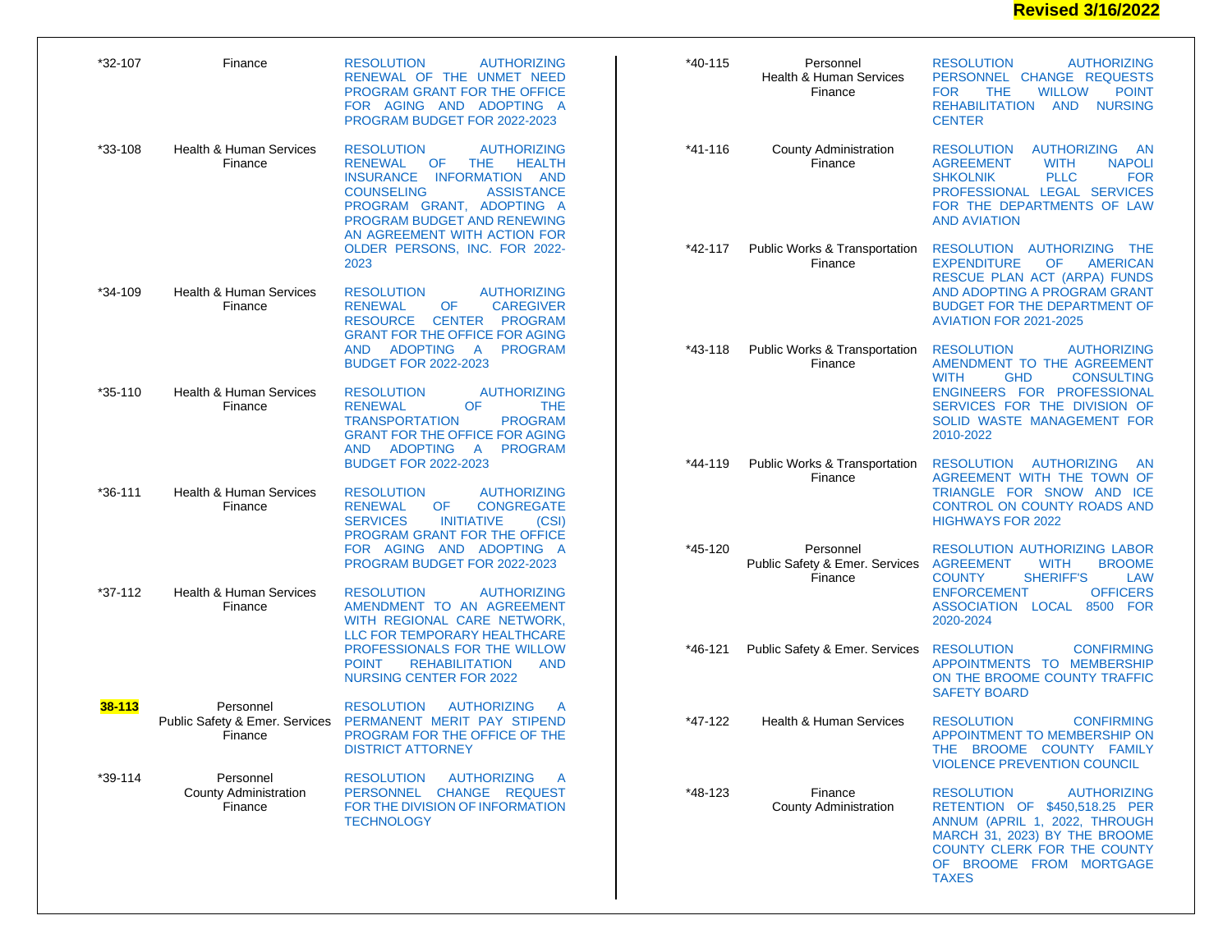## **Revised 3/16/2022**

| *32-107     | Finance                                              | <b>RESOLUTION</b><br><b>AUTHORIZING</b><br>RENEWAL OF THE UNMET NEED<br>PROGRAM GRANT FOR THE OFFICE<br>FOR AGING AND ADOPTING A<br>PROGRAM BUDGET FOR 2022-2023                                                                                                                                                                                                                                                                                                                                          | $*40-115$   | Personnel<br><b>Health &amp; Human Services</b><br>Finance | <b>RESOLUTION</b><br><b>AUTHORIZING</b><br>PERSONNEL CHANGE REQUESTS<br><b>POINT</b><br><b>FOR</b><br><b>WILLOW</b><br><b>THE</b><br>REHABILITATION AND NURSING<br><b>CENTER</b>                                                      |
|-------------|------------------------------------------------------|-----------------------------------------------------------------------------------------------------------------------------------------------------------------------------------------------------------------------------------------------------------------------------------------------------------------------------------------------------------------------------------------------------------------------------------------------------------------------------------------------------------|-------------|------------------------------------------------------------|---------------------------------------------------------------------------------------------------------------------------------------------------------------------------------------------------------------------------------------|
| *33-108     | Health & Human Services<br>Finance                   | <b>AUTHORIZING</b><br><b>RESOLUTION</b><br><b>RENEWAL</b><br><b>THE</b><br>HEALTH<br>OF.<br><b>INSURANCE</b><br>INFORMATION AND<br><b>COUNSELING</b><br><b>ASSISTANCE</b><br>PROGRAM GRANT, ADOPTING A<br>PROGRAM BUDGET AND RENEWING<br>AN AGREEMENT WITH ACTION FOR<br>OLDER PERSONS, INC. FOR 2022-<br>2023                                                                                                                                                                                            | $*41 - 116$ | <b>County Administration</b><br>Finance                    | <b>RESOLUTION</b><br><b>AUTHORIZING</b><br>AN<br><b>NAPOLI</b><br><b>AGREEMENT</b><br><b>WITH</b><br><b>PLLC</b><br><b>FOR</b><br><b>SHKOLNIK</b><br>PROFESSIONAL LEGAL SERVICES<br>FOR THE DEPARTMENTS OF LAW<br><b>AND AVIATION</b> |
|             |                                                      |                                                                                                                                                                                                                                                                                                                                                                                                                                                                                                           | *42-117     | Public Works & Transportation<br>Finance                   | RESOLUTION AUTHORIZING THE<br><b>EXPENDITURE</b><br>OF<br><b>AMERICAN</b><br>RESCUE PLAN ACT (ARPA) FUNDS                                                                                                                             |
| *34-109     | Health & Human Services<br>Finance                   | <b>RESOLUTION</b><br><b>AUTHORIZING</b><br><b>OF</b><br><b>CAREGIVER</b><br><b>RENEWAL</b><br><b>CENTER</b><br><b>RESOURCE</b><br><b>PROGRAM</b><br><b>GRANT FOR THE OFFICE FOR AGING</b><br><b>ADOPTING</b><br><b>PROGRAM</b><br>AND.<br>A<br><b>BUDGET FOR 2022-2023</b><br><b>RESOLUTION</b><br><b>AUTHORIZING</b><br><b>RENEWAL</b><br><b>OF</b><br><b>THE</b><br><b>TRANSPORTATION</b><br><b>PROGRAM</b><br><b>GRANT FOR THE OFFICE FOR AGING</b><br><b>ADOPTING</b><br>AND.<br>A.<br><b>PROGRAM</b> |             |                                                            | AND ADOPTING A PROGRAM GRANT<br><b>BUDGET FOR THE DEPARTMENT OF</b><br><b>AVIATION FOR 2021-2025</b>                                                                                                                                  |
|             |                                                      |                                                                                                                                                                                                                                                                                                                                                                                                                                                                                                           | *43-118     | Public Works & Transportation<br>Finance                   | <b>RESOLUTION</b><br><b>AUTHORIZING</b><br>AMENDMENT TO THE AGREEMENT<br><b>WITH</b><br><b>GHD</b><br><b>CONSULTING</b>                                                                                                               |
| $*35 - 110$ | Health & Human Services<br>Finance                   |                                                                                                                                                                                                                                                                                                                                                                                                                                                                                                           |             |                                                            | ENGINEERS FOR PROFESSIONAL<br>SERVICES FOR THE DIVISION OF<br>SOLID WASTE MANAGEMENT FOR<br>2010-2022                                                                                                                                 |
| *36-111     | <b>Health &amp; Human Services</b><br>Finance        | <b>BUDGET FOR 2022-2023</b><br><b>RESOLUTION</b><br><b>AUTHORIZING</b><br><b>OF</b><br><b>RENEWAL</b><br><b>CONGREGATE</b><br><b>SERVICES</b><br><b>INITIATIVE</b><br>(CSI)                                                                                                                                                                                                                                                                                                                               | *44-119     | Public Works & Transportation<br>Finance                   | <b>RESOLUTION</b><br>AUTHORIZING<br><b>AN</b><br>AGREEMENT WITH THE TOWN OF<br>TRIANGLE FOR SNOW AND ICE<br>CONTROL ON COUNTY ROADS AND<br><b>HIGHWAYS FOR 2022</b>                                                                   |
|             |                                                      | PROGRAM GRANT FOR THE OFFICE<br>FOR AGING AND ADOPTING A<br>PROGRAM BUDGET FOR 2022-2023                                                                                                                                                                                                                                                                                                                                                                                                                  | *45-120     | Personnel<br>Public Safety & Emer. Services<br>Finance     | <b>RESOLUTION AUTHORIZING LABOR</b><br><b>AGREEMENT</b><br><b>WITH</b><br><b>BROOME</b><br><b>COUNTY</b><br><b>SHERIFF'S</b><br><b>LAW</b>                                                                                            |
| *37-112     | <b>Health &amp; Human Services</b><br>Finance        | <b>RESOLUTION</b><br><b>AUTHORIZING</b><br>AMENDMENT TO AN AGREEMENT<br>WITH REGIONAL CARE NETWORK,<br>LLC FOR TEMPORARY HEALTHCARE<br>PROFESSIONALS FOR THE WILLOW<br><b>REHABILITATION</b><br><b>POINT</b><br><b>AND</b><br><b>NURSING CENTER FOR 2022</b>                                                                                                                                                                                                                                              |             |                                                            | <b>OFFICERS</b><br><b>ENFORCEMENT</b><br>ASSOCIATION LOCAL 8500 FOR<br>2020-2024                                                                                                                                                      |
|             |                                                      |                                                                                                                                                                                                                                                                                                                                                                                                                                                                                                           | *46-121     | Public Safety & Emer. Services                             | <b>RESOLUTION</b><br><b>CONFIRMING</b><br>APPOINTMENTS TO MEMBERSHIP<br>ON THE BROOME COUNTY TRAFFIC<br><b>SAFETY BOARD</b>                                                                                                           |
| 38-113      | Personnel<br>Finance                                 | <b>RESOLUTION</b><br><b>AUTHORIZING</b><br>A<br>Public Safety & Emer. Services PERMANENT MERIT PAY STIPEND<br>PROGRAM FOR THE OFFICE OF THE<br><b>DISTRICT ATTORNEY</b>                                                                                                                                                                                                                                                                                                                                   | *47-122     | <b>Health &amp; Human Services</b>                         | <b>RESOLUTION</b><br><b>CONFIRMING</b><br>APPOINTMENT TO MEMBERSHIP ON<br>THE BROOME COUNTY FAMILY<br><b>VIOLENCE PREVENTION COUNCIL</b>                                                                                              |
| *39-114     | Personnel<br><b>County Administration</b><br>Finance | <b>RESOLUTION</b><br><b>AUTHORIZING</b><br>$\mathsf{A}$<br>PERSONNEL CHANGE REQUEST<br>FOR THE DIVISION OF INFORMATION<br><b>TECHNOLOGY</b>                                                                                                                                                                                                                                                                                                                                                               | $*48-123$   | Finance<br><b>County Administration</b>                    | <b>RESOLUTION</b><br><b>AUTHORIZING</b><br>RETENTION OF \$450,518.25 PER<br>ANNUM (APRIL 1, 2022, THROUGH<br>MARCH 31, 2023) BY THE BROOME<br>COUNTY CLERK FOR THE COUNTY<br>OF BROOME FROM MORTGAGE<br><b>TAXES</b>                  |